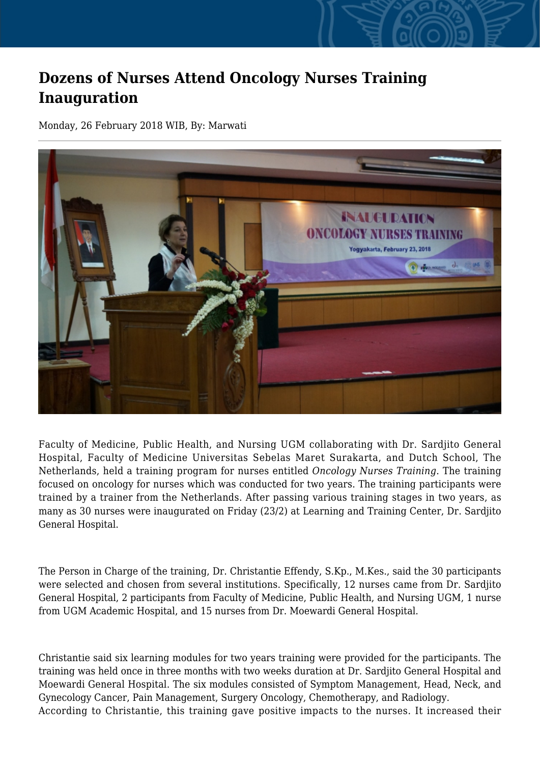## **Dozens of Nurses Attend Oncology Nurses Training Inauguration**

Monday, 26 February 2018 WIB, By: Marwati



Faculty of Medicine, Public Health, and Nursing UGM collaborating with Dr. Sardjito General Hospital, Faculty of Medicine Universitas Sebelas Maret Surakarta, and Dutch School, The Netherlands, held a training program for nurses entitled *Oncology Nurses Training*. The training focused on oncology for nurses which was conducted for two years. The training participants were trained by a trainer from the Netherlands. After passing various training stages in two years, as many as 30 nurses were inaugurated on Friday (23/2) at Learning and Training Center, Dr. Sardjito General Hospital.

The Person in Charge of the training, Dr. Christantie Effendy, S.Kp., M.Kes., said the 30 participants were selected and chosen from several institutions. Specifically, 12 nurses came from Dr. Sardjito General Hospital, 2 participants from Faculty of Medicine, Public Health, and Nursing UGM, 1 nurse from UGM Academic Hospital, and 15 nurses from Dr. Moewardi General Hospital.

Christantie said six learning modules for two years training were provided for the participants. The training was held once in three months with two weeks duration at Dr. Sardjito General Hospital and Moewardi General Hospital. The six modules consisted of Symptom Management, Head, Neck, and Gynecology Cancer, Pain Management, Surgery Oncology, Chemotherapy, and Radiology. According to Christantie, this training gave positive impacts to the nurses. It increased their